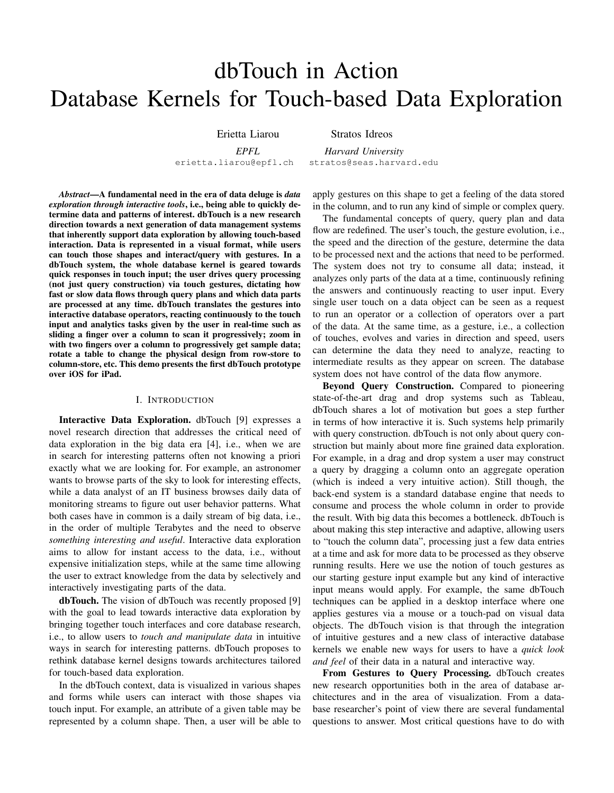# dbTouch in Action Database Kernels for Touch-based Data Exploration

Erietta Liarou Stratos Idreos

*EPFL Harvard University* erietta.liarou@epfl.ch stratos@seas.harvard.edu

*Abstract*—A fundamental need in the era of data deluge is *data exploration through interactive tools*, i.e., being able to quickly determine data and patterns of interest. dbTouch is a new research direction towards a next generation of data management systems that inherently support data exploration by allowing touch-based interaction. Data is represented in a visual format, while users can touch those shapes and interact/query with gestures. In a dbTouch system, the whole database kernel is geared towards quick responses in touch input; the user drives query processing (not just query construction) via touch gestures, dictating how fast or slow data flows through query plans and which data parts are processed at any time. dbTouch translates the gestures into interactive database operators, reacting continuously to the touch input and analytics tasks given by the user in real-time such as sliding a finger over a column to scan it progressively; zoom in with two fingers over a column to progressively get sample data; rotate a table to change the physical design from row-store to column-store, etc. This demo presents the first dbTouch prototype over iOS for iPad.

## I. INTRODUCTION

Interactive Data Exploration. dbTouch [9] expresses a novel research direction that addresses the critical need of data exploration in the big data era [4], i.e., when we are in search for interesting patterns often not knowing a priori exactly what we are looking for. For example, an astronomer wants to browse parts of the sky to look for interesting effects, while a data analyst of an IT business browses daily data of monitoring streams to figure out user behavior patterns. What both cases have in common is a daily stream of big data, i.e., in the order of multiple Terabytes and the need to observe *something interesting and useful*. Interactive data exploration aims to allow for instant access to the data, i.e., without expensive initialization steps, while at the same time allowing the user to extract knowledge from the data by selectively and interactively investigating parts of the data.

dbTouch. The vision of dbTouch was recently proposed [9] with the goal to lead towards interactive data exploration by bringing together touch interfaces and core database research, i.e., to allow users to *touch and manipulate data* in intuitive ways in search for interesting patterns. dbTouch proposes to rethink database kernel designs towards architectures tailored for touch-based data exploration.

In the dbTouch context, data is visualized in various shapes and forms while users can interact with those shapes via touch input. For example, an attribute of a given table may be represented by a column shape. Then, a user will be able to

apply gestures on this shape to get a feeling of the data stored in the column, and to run any kind of simple or complex query.

The fundamental concepts of query, query plan and data flow are redefined. The user's touch, the gesture evolution, i.e., the speed and the direction of the gesture, determine the data to be processed next and the actions that need to be performed. The system does not try to consume all data; instead, it analyzes only parts of the data at a time, continuously refining the answers and continuously reacting to user input. Every single user touch on a data object can be seen as a request to run an operator or a collection of operators over a part of the data. At the same time, as a gesture, i.e., a collection of touches, evolves and varies in direction and speed, users can determine the data they need to analyze, reacting to intermediate results as they appear on screen. The database system does not have control of the data flow anymore.

Beyond Query Construction. Compared to pioneering state-of-the-art drag and drop systems such as Tableau, dbTouch shares a lot of motivation but goes a step further in terms of how interactive it is. Such systems help primarily with query construction. dbTouch is not only about query construction but mainly about more fine grained data exploration. For example, in a drag and drop system a user may construct a query by dragging a column onto an aggregate operation (which is indeed a very intuitive action). Still though, the back-end system is a standard database engine that needs to consume and process the whole column in order to provide the result. With big data this becomes a bottleneck. dbTouch is about making this step interactive and adaptive, allowing users to "touch the column data", processing just a few data entries at a time and ask for more data to be processed as they observe running results. Here we use the notion of touch gestures as our starting gesture input example but any kind of interactive input means would apply. For example, the same dbTouch techniques can be applied in a desktop interface where one applies gestures via a mouse or a touch-pad on visual data objects. The dbTouch vision is that through the integration of intuitive gestures and a new class of interactive database kernels we enable new ways for users to have a *quick look and feel* of their data in a natural and interactive way.

From Gestures to Query Processing. dbTouch creates new research opportunities both in the area of database architectures and in the area of visualization. From a database researcher's point of view there are several fundamental questions to answer. Most critical questions have to do with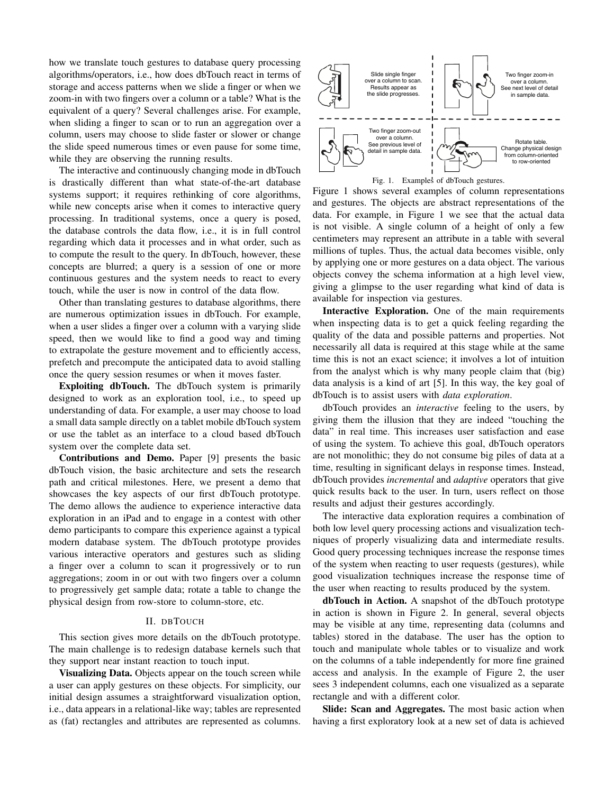how we translate touch gestures to database query processing algorithms/operators, i.e., how does dbTouch react in terms of storage and access patterns when we slide a finger or when we zoom-in with two fingers over a column or a table? What is the equivalent of a query? Several challenges arise. For example, when sliding a finger to scan or to run an aggregation over a column, users may choose to slide faster or slower or change the slide speed numerous times or even pause for some time, while they are observing the running results.

The interactive and continuously changing mode in dbTouch is drastically different than what state-of-the-art database systems support; it requires rethinking of core algorithms, while new concepts arise when it comes to interactive query processing. In traditional systems, once a query is posed, the database controls the data flow, i.e., it is in full control regarding which data it processes and in what order, such as to compute the result to the query. In dbTouch, however, these concepts are blurred; a query is a session of one or more continuous gestures and the system needs to react to every touch, while the user is now in control of the data flow.

Other than translating gestures to database algorithms, there are numerous optimization issues in dbTouch. For example, when a user slides a finger over a column with a varying slide speed, then we would like to find a good way and timing to extrapolate the gesture movement and to efficiently access, prefetch and precompute the anticipated data to avoid stalling once the query session resumes or when it moves faster.

Exploiting dbTouch. The dbTouch system is primarily designed to work as an exploration tool, i.e., to speed up understanding of data. For example, a user may choose to load a small data sample directly on a tablet mobile dbTouch system or use the tablet as an interface to a cloud based dbTouch system over the complete data set.

Contributions and Demo. Paper [9] presents the basic dbTouch vision, the basic architecture and sets the research path and critical milestones. Here, we present a demo that showcases the key aspects of our first dbTouch prototype. The demo allows the audience to experience interactive data exploration in an iPad and to engage in a contest with other demo participants to compare this experience against a typical modern database system. The dbTouch prototype provides various interactive operators and gestures such as sliding a finger over a column to scan it progressively or to run aggregations; zoom in or out with two fingers over a column to progressively get sample data; rotate a table to change the physical design from row-store to column-store, etc.

# II. DBTOUCH

This section gives more details on the dbTouch prototype. The main challenge is to redesign database kernels such that they support near instant reaction to touch input.

**Visualizing Data.** Objects appear on the touch screen while a user can apply gestures on these objects. For simplicity, our initial design assumes a straightforward visualization option, i.e., data appears in a relational-like way; tables are represented as (fat) rectangles and attributes are represented as columns.



Figure 1 shows several examples of column representations and gestures. The objects are abstract representations of the data. For example, in Figure 1 we see that the actual data is not visible. A single column of a height of only a few centimeters may represent an attribute in a table with several millions of tuples. Thus, the actual data becomes visible, only by applying one or more gestures on a data object. The various objects convey the schema information at a high level view, giving a glimpse to the user regarding what kind of data is available for inspection via gestures.

Interactive Exploration. One of the main requirements when inspecting data is to get a quick feeling regarding the quality of the data and possible patterns and properties. Not necessarily all data is required at this stage while at the same time this is not an exact science; it involves a lot of intuition from the analyst which is why many people claim that (big) data analysis is a kind of art [5]. In this way, the key goal of dbTouch is to assist users with *data exploration*.

dbTouch provides an *interactive* feeling to the users, by giving them the illusion that they are indeed "touching the data" in real time. This increases user satisfaction and ease of using the system. To achieve this goal, dbTouch operators are not monolithic; they do not consume big piles of data at a time, resulting in significant delays in response times. Instead, dbTouch provides *incremental* and *adaptive* operators that give quick results back to the user. In turn, users reflect on those results and adjust their gestures accordingly.

The interactive data exploration requires a combination of both low level query processing actions and visualization techniques of properly visualizing data and intermediate results. Good query processing techniques increase the response times of the system when reacting to user requests (gestures), while good visualization techniques increase the response time of the user when reacting to results produced by the system.

dbTouch in Action. A snapshot of the dbTouch prototype in action is shown in Figure 2. In general, several objects may be visible at any time, representing data (columns and tables) stored in the database. The user has the option to touch and manipulate whole tables or to visualize and work on the columns of a table independently for more fine grained access and analysis. In the example of Figure 2, the user sees 3 independent columns, each one visualized as a separate rectangle and with a different color.

Slide: Scan and Aggregates. The most basic action when having a first exploratory look at a new set of data is achieved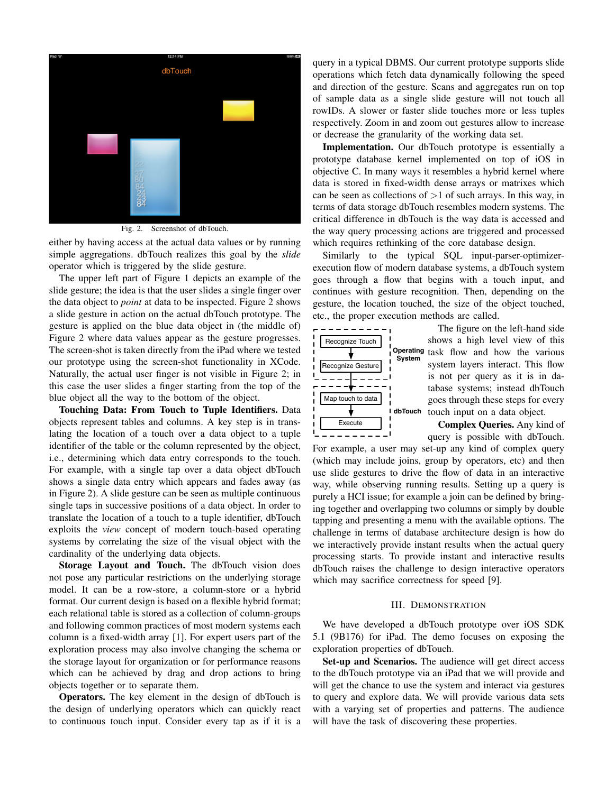

Fig. 2. Screenshot of dbTouch.

either by having access at the actual data values or by running simple aggregations. dbTouch realizes this goal by the *slide* operator which is triggered by the slide gesture.

The upper left part of Figure 1 depicts an example of the slide gesture; the idea is that the user slides a single finger over the data object to *point* at data to be inspected. Figure 2 shows a slide gesture in action on the actual dbTouch prototype. The gesture is applied on the blue data object in (the middle of) Figure 2 where data values appear as the gesture progresses. The screen-shot is taken directly from the iPad where we tested our prototype using the screen-shot functionality in XCode. Naturally, the actual user finger is not visible in Figure 2; in this case the user slides a finger starting from the top of the blue object all the way to the bottom of the object.

Touching Data: From Touch to Tuple Identifiers. Data objects represent tables and columns. A key step is in translating the location of a touch over a data object to a tuple identifier of the table or the column represented by the object, i.e., determining which data entry corresponds to the touch. For example, with a single tap over a data object dbTouch shows a single data entry which appears and fades away (as in Figure 2). A slide gesture can be seen as multiple continuous single taps in successive positions of a data object. In order to translate the location of a touch to a tuple identifier, dbTouch exploits the *view* concept of modern touch-based operating systems by correlating the size of the visual object with the cardinality of the underlying data objects.

Storage Layout and Touch. The dbTouch vision does not pose any particular restrictions on the underlying storage model. It can be a row-store, a column-store or a hybrid format. Our current design is based on a flexible hybrid format; each relational table is stored as a collection of column-groups and following common practices of most modern systems each column is a fixed-width array [1]. For expert users part of the exploration process may also involve changing the schema or the storage layout for organization or for performance reasons which can be achieved by drag and drop actions to bring objects together or to separate them.

Operators. The key element in the design of dbTouch is the design of underlying operators which can quickly react to continuous touch input. Consider every tap as if it is a query in a typical DBMS. Our current prototype supports slide operations which fetch data dynamically following the speed and direction of the gesture. Scans and aggregates run on top of sample data as a single slide gesture will not touch all rowIDs. A slower or faster slide touches more or less tuples respectively. Zoom in and zoom out gestures allow to increase or decrease the granularity of the working data set.

Implementation. Our dbTouch prototype is essentially a prototype database kernel implemented on top of iOS in objective C. In many ways it resembles a hybrid kernel where data is stored in fixed-width dense arrays or matrixes which can be seen as collections of *>*1 of such arrays. In this way, in terms of data storage dbTouch resembles modern systems. The critical difference in dbTouch is the way data is accessed and the way query processing actions are triggered and processed which requires rethinking of the core database design.

Similarly to the typical SQL input-parser-optimizerexecution flow of modern database systems, a dbTouch system goes through a flow that begins with a touch input, and continues with gesture recognition. Then, depending on the gesture, the location touched, the size of the object touched, etc., the proper execution methods are called.

|                    | Recognize Touch   |
|--------------------|-------------------|
| Operatin<br>System |                   |
|                    | Recognize Gesture |
|                    |                   |
|                    |                   |
|                    | Map touch to data |
| dbTouch            |                   |
|                    | Execute           |
|                    |                   |

**Operating** task flow and how the various **dbTouch** touch input on a data object. The figure on the left-hand side shows a high level view of this system layers interact. This flow is not per query as it is in database systems; instead dbTouch goes through these steps for every

> Complex Queries. Any kind of query is possible with dbTouch.

For example, a user may set-up any kind of complex query (which may include joins, group by operators, etc) and then use slide gestures to drive the flow of data in an interactive way, while observing running results. Setting up a query is purely a HCI issue; for example a join can be defined by bringing together and overlapping two columns or simply by double tapping and presenting a menu with the available options. The challenge in terms of database architecture design is how do we interactively provide instant results when the actual query processing starts. To provide instant and interactive results dbTouch raises the challenge to design interactive operators which may sacrifice correctness for speed [9].

# III. DEMONSTRATION

We have developed a dbTouch prototype over iOS SDK 5.1 (9B176) for iPad. The demo focuses on exposing the exploration properties of dbTouch.

Set-up and Scenarios. The audience will get direct access to the dbTouch prototype via an iPad that we will provide and will get the chance to use the system and interact via gestures to query and explore data. We will provide various data sets with a varying set of properties and patterns. The audience will have the task of discovering these properties.